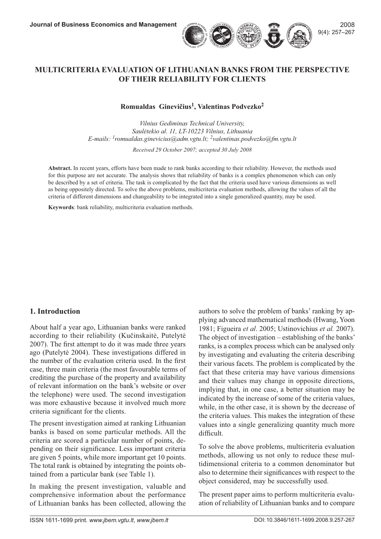

# **MULTICRITERIA EVALUATION OF LITHUANIAN BANKS FROM THE PERSPECTIVE OF THEIR RELIABILITY FOR CLIENTS**

#### **Romualdas Ginevičius1, Valentinas Podvezko2**

*Vilnius Gediminas Technical University, Saulėtekio al. 11, LT-10223 Vilnius, Lithuania E-mails: 1romualdas.ginevicius@adm.vgtu.lt; 2valentinas.podvezko@fm.vgtu.lt*

*Received 29 October 2007; accepted 30 July 2008* 

**Abstract.** In recent years, efforts have been made to rank banks according to their reliability. However, the methods used for this purpose are not accurate. The analysis shows that reliability of banks is a complex phenomenon which can only be described by a set of criteria. The task is complicated by the fact that the criteria used have various dimensions as well as being oppositely directed. To solve the above problems, multicriteria evaluation methods, allowing the values of all the criteria of different dimensions and changeability to be integrated into a single generalized quantity, may be used.

**Keywords**: bank reliability, multicriteria evaluation methods.

### **1. Introduction**

About half a year ago, Lithuanian banks were ranked according to their reliability (Kučinskaitė, Putelytė 2007). The first attempt to do it was made three years ago (Putelytė 2004). These investigations differed in the number of the evaluation criteria used. In the first case, three main criteria (the most favourable terms of crediting the purchase of the property and availability of relevant information on the bank's website or over the telephone) were used. The second investigation was more exhaustive because it involved much more criteria significant for the clients.

The present investigation aimed at ranking Lithuanian banks is based on some particular methods. All the criteria are scored a particular number of points, depending on their significance. Less important criteria are given 5 points, while more important get 10 points. The total rank is obtained by integrating the points obtained from a particular bank (see Table 1).

In making the present investigation, valuable and comprehensive information about the performance of Lithuanian banks has been collected, allowing the

authors to solve the problem of banks' ranking by applying advanced mathematical methods (Hwang, Yoon 1981; Figueira *et al*. 2005; Ustinovichius *et al.* 2007). The object of investigation – establishing of the banks' ranks, is a complex process which can be analysed only by investigating and evaluating the criteria describing their various facets. The problem is complicated by the fact that these criteria may have various dimensions and their values may change in opposite directions, implying that, in one case, a better situation may be indicated by the increase of some of the criteria values, while, in the other case, it is shown by the decrease of the criteria values. This makes the integration of these values into a single generalizing quantity much more difficult.

To solve the above problems, multicriteria evaluation methods, allowing us not only to reduce these multidimensional criteria to a common denominator but also to determine their significances with respect to the object considered, may be successfully used.

The present paper aims to perform multicriteria evaluation of reliability of Lithuanian banks and to compare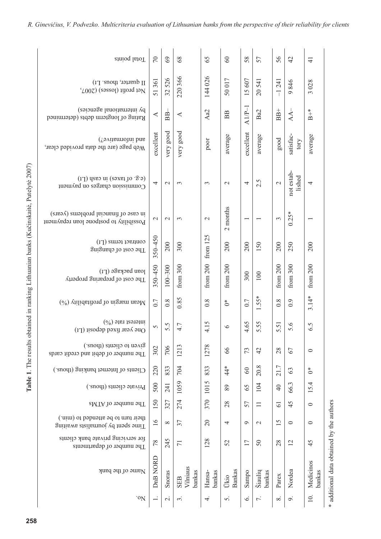| Total points                                                                    | $\sqrt{2}$       | 69            | 68                        | 65                | $\infty$              | 58            | 57                | 56                    | 42                   | $\frac{1}{4}$       |
|---------------------------------------------------------------------------------|------------------|---------------|---------------------------|-------------------|-----------------------|---------------|-------------------|-----------------------|----------------------|---------------------|
| II quarter, thous. Lt)<br>$(2007)(sosso)$ iyond ian                             | 51361            | 32526         | 220366                    | 144026            | 50017                 | 15607         | 20541             | $-1241$               | 9846                 | 3028                |
| by international agencies)<br>Rating of longterm debts (determined              | $\blacktriangle$ | $BB -$        | $\prec$                   | Aa2               | BB                    | $A1/P-1$      | Ba2               | $BB+$                 | $AA-$                | $B+*$               |
| and informative?)<br>Web page (are the data provided clear,                     | excellent        | very good     | very good                 | poor              | average               | excellent     | average           | $_{\rm good}$         | satisfac-<br>tory    | average             |
| $(11)$ daso ni (esztar To .g.o)<br>Commission charges on payment                | 4                | $\mathcal{L}$ | $\mathfrak{g}$            | 3                 | $\mathbf{C}$          | 4             | 2.5               | $\mathcal{L}$         | not estab-<br>lished | 4                   |
| in case of financial problems (years)<br>Possibility to postpone loan repayment | $\sim$           | $\sim$        | $\epsilon$                | $\mathcal{L}$     | 2 months              |               |                   | $\tilde{\phantom{0}}$ | $0.25*$              |                     |
| contract terms $(T)$<br>The cost of changing                                    | $350 - 450$      | 200           | 300                       |                   | 200                   | 200           | 150               | 200                   | 250                  | 200                 |
| loan package (Lt)<br>The cost of preparing property                             | $350 - 450$      | $100 - 300$   | from $300$                | from 200 from 125 | from $200$            | 300           | 100               | from 200              | from $300$           | from $200$          |
| Mean margin of profitability (%)                                                | 0.7              | $0.8\,$       | 0.85                      | 0.8               | $\circ$               | 0.7           | $1.55*$           | 0.8                   | 0.9                  | $3.14*$             |
| interest rate $(\%)$<br>One year fixed deposit (Lt)                             | $\Omega$         | 5.5           | 4.7                       | 4.15              | $\circ$               | 4.65          | 5.55              | 5.51                  | 5.6                  | 6.5                 |
| given to clients (thous.)<br>The number of debit and credit cards               | 302              | 706           | 1213                      | 1278              | 66                    | 73            | 42                | 28                    | 67                   | $\circ$             |
| Clients of Internet banking (thous.)                                            | 220              | 833           | 704                       | 833               | $44*$                 | $\odot$       | 20.8              | 21.7                  | 63                   | $\zeta$             |
| Private clients (thous.)                                                        | 500              | 241           | 1059                      | 1015              | 89                    | 65            | 104               | $\overline{4}$        | 66.3                 | 15.4                |
| The number of ATMs                                                              | 150              | 327           | 274                       | 370               | $28$                  | 57            | $\equiv$          | $\overline{61}$       | 45                   | $\circ$             |
| their turn to be attended to (min.)<br>gnitisws atailamuoi vd tnoqa omiT        | $\overline{16}$  | $\infty$      | 37                        | $20\,$            | 4                     | $\circ$       | $\mathcal{L}$     | 15                    | $\circ$              | $\circ$             |
| for servicing private bank clients<br>The number of departments                 | 78               | 245           | $\overline{71}$           | 128               | 52                    | 17            | 50                | 28                    | 12                   | 45                  |
| Name of the bank                                                                | DnB NORD         | Snoras        | Vilniaus<br>bankas<br>SEB | Hansa-<br>bankas  | <b>Bankas</b><br>Ūkio | Sampo         | Šiaulių<br>bankas | Parex                 | Nordea               | Medicinos<br>bankas |
| .oV                                                                             |                  | $\sim$        | $\sim$                    | 4.                | 5.                    | $\dot{\circ}$ | 7.                | ∞ं                    | o.                   | $\overline{10}$ .   |

\* additional data obtained by the authors

\* additional data obtained by the authors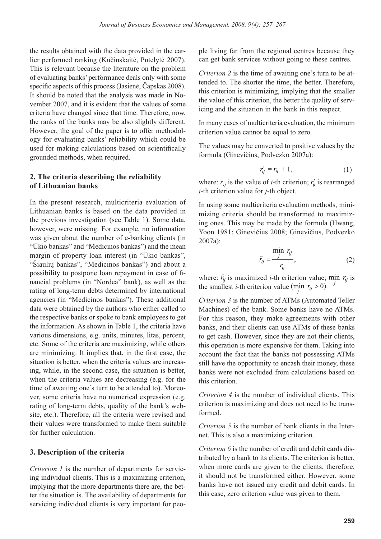the results obtained with the data provided in the earlier performed ranking (Kučinskaitė, Putelytė 2007). This is relevant because the literature on the problem of evaluating banks' performance deals only with some specific aspects of this process (Jasienė, Čapskas 2008). It should be noted that the analysis was made in November 2007, and it is evident that the values of some criteria have changed since that time. Therefore, now, the ranks of the banks may be also slightly different. However, the goal of the paper is to offer methodology for evaluating banks' reliability which could be used for making calculations based on scientifically grounded methods, when required.

### **2. The criteria describing the reliability of Lithuanian banks**

In the present research, multicriteria evaluation of Lithuanian banks is based on the data provided in the previous investigation (see Table 1). Some data, however, were missing. For example, no information was given about the number of e-banking clients (in "Ūkio bankas" and "Medicinos bankas") and the mean margin of property loan interest (in "Ūkio bankas", "Šiaulių bankas", "Medicinos bankas") and about a possibility to postpone loan repayment in case of financial problems (in "Nordea" bank), as well as the rating of long-term debts determined by international agencies (in "Medicinos bankas"). These additional data were obtained by the authors who either called to the respective banks or spoke to bank employees to get the information. As shown in Table 1, the criteria have various dimensions, e.g. units, minutes, litas, percent, etc. Some of the criteria are maximizing, while others are minimizing. It implies that, in the first case, the situation is better, when the criteria values are increasing, while, in the second case, the situation is better, when the criteria values are decreasing (e.g. for the time of awaiting one's turn to be attended to). Moreover, some criteria have no numerical expression (e.g. rating of long-term debts, quality of the bank's website, etc.). Therefore, all the criteria were revised and their values were transformed to make them suitable for further calculation.

#### **3. Description of the criteria**

*Criterion 1* is the number of departments for servicing individual clients. This is a maximizing criterion, implying that the more departments there are, the better the situation is. The availability of departments for servicing individual clients is very important for peo-

ple living far from the regional centres because they can get bank services without going to these centres.

*Criterion 2* is the time of awaiting one's turn to be attended to. The shorter the time, the better. Therefore, this criterion is minimizing, implying that the smaller the value of this criterion, the better the quality of servicing and the situation in the bank in this respect.

In many cases of multicriteria evaluation, the minimum criterion value cannot be equal to zero.

The values may be converted to positive values by the formula (Ginevičius, Podvezko 2007a):

$$
r'_{ij} = r_{ij} + 1,\tag{1}
$$

where:  $r_{ij}$  is the value of *i*-th criterion;  $r'_{ij}$  is rearranged *i*-th criterion value for *j*-th object.

In using some multicriteria evaluation methods, minimizing criteria should be transformed to maximizing ones. This may be made by the formula (Hwang, Yoon 1981; Ginevičius 2008; Ginevičius, Podvezko 2007a):

$$
\tilde{r}_{ij} = \frac{\min_i r_{ij}}{r_{ij}},\tag{2}
$$

where:  $\tilde{r}_{ij}$  is maximized *i*-th criterion value; min  $r_{ij}$  is the smallest *i*-th criterion value

*Criterion 3* is the number of ATMs (Automated Teller Machines) of the bank. Some banks have no ATMs. For this reason, they make agreements with other banks, and their clients can use ATMs of these banks to get cash. However, since they are not their clients, this operation is more expensive for them. Taking into account the fact that the banks not possessing ATMs still have the opportunity to encash their money, these banks were not excluded from calculations based on this criterion.

*Criterion 4* is the number of individual clients. This criterion is maximizing and does not need to be transformed.

*Criterion 5* is the number of bank clients in the Internet. This is also a maximizing criterion.

*Criterion 6* is the number of credit and debit cards distributed by a bank to its clients. The criterion is better, when more cards are given to the clients, therefore, it should not be transformed either. However, some banks have not issued any credit and debit cards. In this case, zero criterion value was given to them.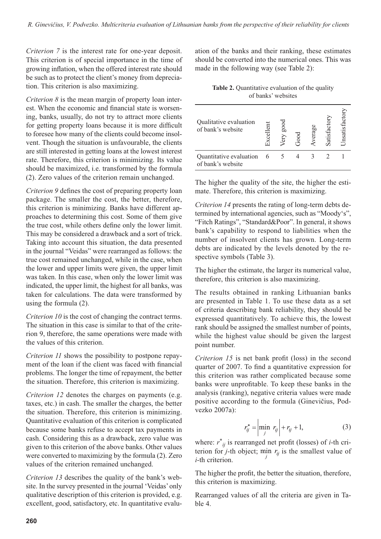*Criterion 7* is the interest rate for one-year deposit. This criterion is of special importance in the time of growing inflation, when the offered interest rate should be such as to protect the client's money from depreciation. This criterion is also maximizing.

*Criterion 8* is the mean margin of property loan interest. When the economic and financial state is worsening, banks, usually, do not try to attract more clients for getting property loans because it is more difficult to foresee how many of the clients could become insolvent. Though the situation is unfavourable, the clients are still interested in getting loans at the lowest interest rate. Therefore, this criterion is minimizing. Its value should be maximized, i.e. transformed by the formula (2). Zero values of the criterion remain unchanged.

*Criterion 9* defines the cost of preparing property loan package. The smaller the cost, the better, therefore, this criterion is minimizing. Banks have different approaches to determining this cost. Some of them give the true cost, while others define only the lower limit. This may be considered a drawback and a sort of trick. Taking into account this situation, the data presented in the journal "Veidas" were rearranged as follows: the true cost remained unchanged, while in the case, when the lower and upper limits were given, the upper limit was taken. In this case, when only the lower limit was indicated, the upper limit, the highest for all banks, was taken for calculations. The data were transformed by using the formula (2).

*Criterion 10* is the cost of changing the contract terms. The situation in this case is similar to that of the criterion 9, therefore, the same operations were made with the values of this criterion.

*Criterion 11* shows the possibility to postpone repayment of the loan if the client was faced with financial problems. The longer the time of repayment, the better the situation. Therefore, this criterion is maximizing.

*Criterion 12* denotes the charges on payments (e.g. taxes, etc.) in cash. The smaller the charges, the better the situation. Therefore, this criterion is minimizing. Quantitative evaluation of this criterion is complicated because some banks refuse to accept tax payments in cash. Considering this as a drawback, zero value was given to this criterion of the above banks. Other values were converted to maximizing by the formula (2). Zero values of the criterion remained unchanged.

*Criterion 13* describes the quality of the bank's website. In the survey presented in the journal 'Veidas' only qualitative description of this criterion is provided, e.g. excellent, good, satisfactory, etc. In quantitative evaluation of the banks and their ranking, these estimates should be converted into the numerical ones. This was made in the following way (see Table 2):

Table 2. Quantitative evaluation of the quality of banks' websites

| Qualitative evaluation<br>of bank's website  | <b>Excellent</b> | $_{\rm good}$<br>ery | erage | Satisfactor | Jnsatisfactor |
|----------------------------------------------|------------------|----------------------|-------|-------------|---------------|
| Quantitative evaluation<br>of bank's website | - 6              |                      |       |             |               |

The higher the quality of the site, the higher the estimate. Therefore, this criterion is maximizing.

*Criterion 14* presents the rating of long-term debts determined by international agencies, such as "Moody's", "Fitch Ratings", "Standard&Poor". In general, it shows bank's capability to respond to liabilities when the number of insolvent clients has grown. Long-term debts are indicated by the levels denoted by the respective symbols (Table 3).

The higher the estimate, the larger its numerical value, therefore, this criterion is also maximizing.

The results obtained in ranking Lithuanian banks are presented in Table 1. To use these data as a set of criteria describing bank reliability, they should be expressed quantitatively. To achieve this, the lowest rank should be assigned the smallest number of points, while the highest value should be given the largest point number.

*Criterion 15* is net bank profit (loss) in the second quarter of 2007. To find a quantitative expression for this criterion was rather complicated because some banks were unprofitable. To keep these banks in the analysis (ranking), negative criteria values were made positive according to the formula (Ginevičius, Podvezko 2007a):

$$
r_{ij}^* = \left| \min_j \ r_{ij} \right| + r_{ij} + 1, \tag{3}
$$

where:  $r^*_{ij}$  is rearranged net profit (losses) of *i*-th criterion for *j*-th object; min  $r_{ii}$  is the smallest value of *i*-th criterion.

The higher the profit, the better the situation, therefore, this criterion is maximizing.

Rearranged values of all the criteria are given in Table 4.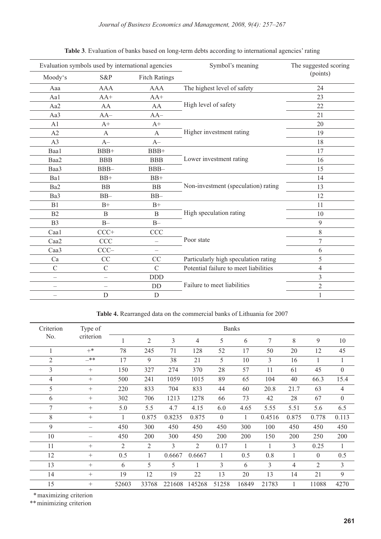|                | Evaluation symbols used by international agencies |                      | Symbol's meaning                      | The suggested scoring |  |  |
|----------------|---------------------------------------------------|----------------------|---------------------------------------|-----------------------|--|--|
| Moody's        | S&P                                               | <b>Fitch Ratings</b> |                                       | (points)              |  |  |
| Aaa            | <b>AAA</b>                                        | <b>AAA</b>           | The highest level of safety           | 24                    |  |  |
| Aa1            | $AA+$                                             | $AA+$                |                                       | 23                    |  |  |
| Aa2            | AA                                                | AA                   | High level of safety                  | 22                    |  |  |
| Aa3            | $AA-$                                             | $AA-$                |                                       | 21                    |  |  |
| A1             | $A+$                                              | $A+$                 |                                       | 20                    |  |  |
| A2             | A                                                 | A                    | Higher investment rating              | 19                    |  |  |
| A3             | $A-$                                              | $A-$                 |                                       | 18                    |  |  |
| Baa1           | $BBB+$                                            | $BBB+$               |                                       | 17                    |  |  |
| Baa2           | <b>BBB</b>                                        | <b>BBB</b>           | Lower investment rating               | 16                    |  |  |
| Baa3           | BBB-                                              | $BBB-$               |                                       | 15                    |  |  |
| Ba1            | $BB+$                                             | $BB+$                |                                       | 14                    |  |  |
| Ba2            | <b>BB</b>                                         | <b>BB</b>            | Non-investment (speculation) rating   | 13                    |  |  |
| Ba3            | $BB-$                                             | $BB-$                |                                       | 12                    |  |  |
| B1             | $B+$                                              | $B+$                 |                                       | 11                    |  |  |
| B <sub>2</sub> | $\overline{B}$                                    | $\overline{B}$       | High speculation rating               | 10                    |  |  |
| B <sub>3</sub> | $B -$                                             | $B -$                |                                       | 9                     |  |  |
| Caa1           | $CCC+$                                            | <b>CCC</b>           |                                       | 8                     |  |  |
| Caa2           | CCC                                               |                      | Poor state                            | 7                     |  |  |
| Caa3           | $CCC-$                                            | $\qquad \qquad -$    |                                       | 6                     |  |  |
| Ca             | CC                                                | CC                   | Particularly high speculation rating  | 5                     |  |  |
| $\mathbf C$    | $\mathcal{C}$                                     | $\mathcal{C}$        | Potential failure to meet liabilities | $\overline{4}$        |  |  |
|                | $\overline{\phantom{0}}$                          | <b>DDD</b>           |                                       | 3                     |  |  |
|                |                                                   | DD                   | Failure to meet liabilities           | $\overline{2}$        |  |  |
|                | $\mathbf D$                                       | D                    |                                       | 1                     |  |  |

**Table 3**. Evaluation of banks based on long-term debts according to international agencies' rating

**Table 4.** Rearranged data on the commercial banks of Lithuania for 2007

| Criterion      | Type of   |       | <b>Banks</b>   |        |                |                  |       |        |                |                  |                  |  |  |
|----------------|-----------|-------|----------------|--------|----------------|------------------|-------|--------|----------------|------------------|------------------|--|--|
| No.            | criterion |       | 2              | 3      | $\overline{4}$ | 5                | 6     | 7      | 8              | 9                | 10               |  |  |
|                | $+$ *     | 78    | 245            | 71     | 128            | 52               | 17    | 50     | 20             | 12               | 45               |  |  |
| $\overline{2}$ | $***$     | 17    | 9              | 38     | 21             | 5                | 10    | 3      | 16             | 1                | 1                |  |  |
| $\overline{3}$ | $^{+}$    | 150   | 327            | 274    | 370            | 28               | 57    | 11     | 61             | 45               | $\boldsymbol{0}$ |  |  |
| $\overline{4}$ | $^{+}$    | 500   | 241            | 1059   | 1015           | 89               | 65    | 104    | 40             | 66.3             | 15.4             |  |  |
| 5              | $^{+}$    | 220   | 833            | 704    | 833            | 44               | 60    | 20.8   | 21.7           | 63               | $\overline{4}$   |  |  |
| 6              | $+$       | 302   | 706            | 1213   | 1278           | 66               | 73    | 42     | 28             | 67               | $\boldsymbol{0}$ |  |  |
| $\tau$         | $^{+}$    | 5.0   | 5.5            | 4.7    | 4.15           | 6.0              | 4.65  | 5.55   | 5.51           | 5.6              | 6.5              |  |  |
| 8              | $^{+}$    | 1     | 0.875          | 0.8235 | 0.875          | $\boldsymbol{0}$ | 1     | 0.4516 | 0.875          | 0.778            | 0.113            |  |  |
| 9              | —         | 450   | 300            | 450    | 450            | 450              | 300   | 100    | 450            | 450              | 450              |  |  |
| 10             |           | 450   | 200            | 300    | 450            | 200              | 200   | 150    | 200            | 250              | 200              |  |  |
| 11             | $^{+}$    | 2     | $\overline{2}$ | 3      | $\overline{2}$ | 0.17             | 1     | 1      | 3              | 0.25             | 1                |  |  |
| 12             | $^{+}$    | 0.5   | 1              | 0.6667 | 0.6667         | 1                | 0.5   | 0.8    | 1              | $\boldsymbol{0}$ | 0.5              |  |  |
| 13             | $+$       | 6     | 5              | 5      |                | 3                | 6     | 3      | $\overline{4}$ | $\mathfrak{2}$   | 3                |  |  |
| 14             | $^{+}$    | 19    | 12             | 19     | 22             | 13               | 20    | 13     | 14             | 21               | 9                |  |  |
| 15             | $^{+}$    | 52603 | 33768          | 221608 | 145268         | 51258            | 16849 | 21783  | 1              | 11088            | 4270             |  |  |

\* maximizing criterion

\*\* minimizing criterion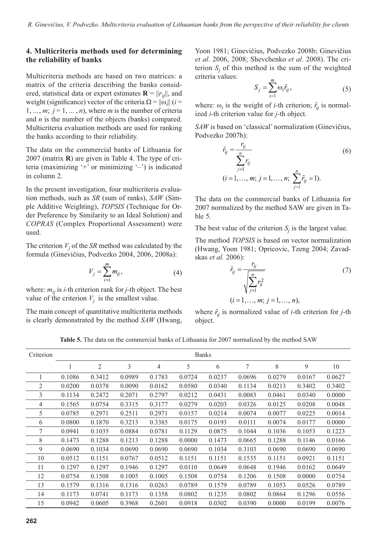# **4. Multicriteria methods used for determining the reliability of banks**

Multicriteria methods are based on two matrices: a matrix of the criteria describing the banks considered, statistical data or expert estimates  $\mathbf{R} = ||r_{ij}||$ , and weight (significance) vector of the criteria  $\Omega = ||\omega_i||$  (*i* =  $1, \ldots, m; j = 1, \ldots, n$ , where *m* is the number of criteria and *n* is the number of the objects (banks) compared. Multicriteria evaluation methods are used for ranking the banks according to their reliability.

The data on the commercial banks of Lithuania for 2007 (matrix **R**) are given in Table 4. The type of criteria (maximizing  $+$  or minimizing  $-$ ) is indicated in column 2.

In the present investigation, four multicriteria evaluation methods, such as *SR* (sum of ranks), *SAW* (Simple Additive Weighting), *TOPSIS* (Technique for Order Preference by Similarity to an Ideal Solution) and *COPRAS* (Complex Proportional Assessment) were used.

The criterion  $V_j$  of the *SR* method was calculated by the formula (Ginevičius, Podvezko 2004, 2006, 2008a):

$$
V_j = \sum_{i=1}^m m_{ij},\tag{4}
$$

where:  $m_{ij}$  is *i*-th criterion rank for *j*-th object. The best value of the criterion  $V_j$  is the smallest value.

The main concept of quantitative multicriteria methods is clearly demonstrated by the method *SAW* (Hwang, Yoon 1981; Ginevičius, Podvezko 2008b; Ginevičius *et al.* 2006, 2008; Shevchenko *et al*. 2008). The criterion  $S_j$  of this method is the sum of the weighted criteria values:

$$
S_j = \sum_{i=1}^{m} \omega_i \tilde{r}_{ij}, \qquad (5)
$$

where:  $\omega_i$  is the weight of *i*-th criterion;  $\tilde{r}_{ij}$  is normalized *i-*th criterion value for *j-*th object.

*SAW* is based on 'classical' normalization (Ginevičius, Podvezko 2007b):

$$
\tilde{r}_{ij} = \frac{r_{ij}}{\sum_{j=1}^{n} r_{ij}} \tag{6}
$$
\n
$$
(i = 1, ..., m; j = 1, ..., n; \sum_{j=1}^{n} \tilde{r}_{ij} = 1).
$$

The data on the commercial banks of Lithuania for 2007 normalized by the method SAW are given in Table 5.

The best value of the criterion  $S_j$  is the largest value.

The method *TOPSIS* is based on vector normalization (Hwang, Yoon 1981; Opricovic, Tzeng 2004; Zavadskas *et al.* 2006):

$$
\tilde{r}_{ij} = \frac{r_{ij}}{\sqrt{\sum_{j=1}^{n} r_{ij}^2}}
$$
\n
$$
(i = 1, ..., m; j = 1, ..., n),
$$
\n(7)

where  $\tilde{r}_{ij}$  is normalized value of *i*-th criterion for *j*-th object.

**Table 5.** The data on the commercial banks of Lithuania for 2007 normalized by the method SAW

| Criterion |        |                |        |        |        | <b>Banks</b> |                |        |        |        |
|-----------|--------|----------------|--------|--------|--------|--------------|----------------|--------|--------|--------|
|           |        | $\mathfrak{2}$ | 3      | 4      | 5      | 6            | $\overline{7}$ | 8      | 9      | 10     |
| 1         | 0.1086 | 0.3412         | 0.0989 | 0.1783 | 0.0724 | 0.0237       | 0.0696         | 0.0279 | 0.0167 | 0.0627 |
| 2         | 0.0200 | 0.0378         | 0.0090 | 0.0162 | 0.0580 | 0.0340       | 0.1134         | 0.0213 | 0.3402 | 0.3402 |
| 3         | 0.1134 | 0.2472         | 0.2071 | 0.2797 | 0.0212 | 0.0431       | 0.0083         | 0.0461 | 0.0340 | 0.0000 |
| 4         | 0.1565 | 0.0754         | 0.3315 | 0.3177 | 0.0279 | 0.0203       | 0.0326         | 0.0125 | 0.0208 | 0.0048 |
| 5         | 0.0785 | 0.2971         | 0.2511 | 0.2971 | 0.0157 | 0.0214       | 0.0074         | 0.0077 | 0.0225 | 0.0014 |
| 6         | 0.0800 | 0.1870         | 0.3213 | 0.3385 | 0.0175 | 0.0193       | 0.0111         | 0.0074 | 0.0177 | 0.0000 |
| 7         | 0.0941 | 0.1035         | 0.0884 | 0.0781 | 0.1129 | 0.0875       | 0.1044         | 0.1036 | 0.1053 | 0.1223 |
| 8         | 0.1473 | 0.1288         | 0.1213 | 0.1288 | 0.0000 | 0.1473       | 0.0665         | 0.1288 | 0.1146 | 0.0166 |
| 9         | 0.0690 | 0.1034         | 0.0690 | 0.0690 | 0.0690 | 0.1034       | 0.3103         | 0.0690 | 0.0690 | 0.0690 |
| 10        | 0.0512 | 0.1151         | 0.0767 | 0.0512 | 0.1151 | 0.1151       | 0.1535         | 0.1151 | 0.0921 | 0.1151 |
| 11        | 0.1297 | 0.1297         | 0.1946 | 0.1297 | 0.0110 | 0.0649       | 0.0648         | 0.1946 | 0.0162 | 0.0649 |
| 12        | 0.0754 | 0.1508         | 0.1005 | 0.1005 | 0.1508 | 0.0754       | 0.1206         | 0.1508 | 0.0000 | 0.0754 |
| 13        | 0.1579 | 0.1316         | 0.1316 | 0.0263 | 0.0789 | 0.1579       | 0.0789         | 0.1053 | 0.0526 | 0.0789 |
| 14        | 0.1173 | 0.0741         | 0.1173 | 0.1358 | 0.0802 | 0.1235       | 0.0802         | 0.0864 | 0.1296 | 0.0556 |
| 15        | 0.0942 | 0.0605         | 0.3968 | 0.2601 | 0.0918 | 0.0302       | 0.0390         | 0.0000 | 0.0199 | 0.0076 |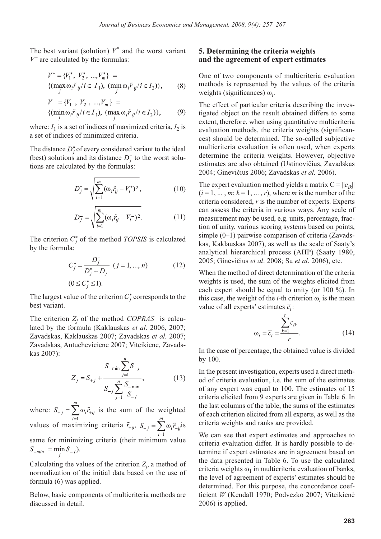The best variant (solution)  $V^*$  and the worst variant  $V^-$  are calculated by the formulas:

$$
V^* = \{V_1^*, V_2^*, ..., V_m^*\} = \{(\max_{j} \omega_i \tilde{r}_{ij} / i \in I_1), (\min_{j} \omega_i \tilde{r}_{ij} / i \in I_2)\},
$$
 (8)

$$
V^- = \{V_1^-, V_2^-, ..., V_m^-\} =
$$
  
\n
$$
\{(\min_j \omega_i \tilde{r}_{ij} / i \in I_1), (\max_j \omega_i \tilde{r}_{ij} / i \in I_2)\},
$$
 (9)

where:  $I_1$  is a set of indices of maximized criteria,  $I_2$  is a set of indices of minimized criteria.

The distance  $D_j^*$  of every considered variant to the ideal (best) solutions and its distance  $D_i^-$  to the worst solutions are calculated by the formulas:

$$
D_j^* = \sqrt{\sum_{i=1}^m (\omega_i \tilde{r}_{ij} - V_i^*)^2},
$$
 (10)

$$
D_j^- = \sqrt{\sum_{i=1}^m (\omega_i \tilde{r}_{ij} - V_i^-)^2}.
$$
 (11)

The criterion  $C_i^*$  of the method *TOPSIS* is calculated by the formula:

$$
C_j^* = \frac{D_j^-}{D_j^* + D_j^-} \quad (j = 1, ..., n)
$$
\n
$$
(0 \le C_j^* \le 1).
$$
\n(12)

The largest value of the criterion  $C_i^*$  corresponds to the best variant.

The criterion  $Z_j$  of the method *COPRAS* is calculated by the formula (Kaklauskas *et al*. 2006, 2007; Zavadskas, Kaklauskas 2007; Zavadskas *et al.* 2007; Zavadskas, Antucheviciene 2007; Viteikiene, Zavadskas 2007):  $\overline{n}$ 

$$
Z_{j} = S_{+j} + \frac{S_{-\min} \sum_{j=1}^{N} S_{-j}}{S_{-j} \sum_{j=1}^{n} \frac{S_{-\min}}{S_{-j}}},
$$
(13)

where:  $S_{+i} = \sum \omega_i \tilde{r}_{+ii}$  is the sum of the weighted values of maximizing criteria  $\tilde{r}_{+ij}$ ,  $S_{-i} = \sum \omega_i \tilde{r}_{-ij}$  is same for minimizing criteria (their minimum value  $S_{-min} = \min_{i} S_{-i}$ .

Calculating the values of the criterion  $Z_j$ , a method of normalization of the initial data based on the use of formula (6) was applied.

Below, basic components of multicriteria methods are discussed in detail.

#### **5. Determining the criteria weights and the agreement of expert estimates**

One of two components of multicriteria evaluation methods is represented by the values of the criteria weights (significances)  $\omega_i$ .

The effect of particular criteria describing the investigated object on the result obtained differs to some extent, therefore, when using quantitative multicriteria evaluation methods, the criteria weights (significances) should be determined. The so-called subjective multicriteria evaluation is often used, when experts determine the criteria weights. However, objective estimates are also obtained (Ustinovičius, Zavadskas 2004; Ginevičius 2006; Zavadskas *et al.* 2006).

The expert evaluation method yields a matrix  $C = ||c_{ik}||$  $(i = 1, \ldots, m; k = 1, \ldots, r)$ , where *m* is the number of the criteria considered, *r* is the number of experts. Experts can assess the criteria in various ways. Any scale of measurement may be used, e.g. units, percentage, fraction of unity, various scoring systems based on points, simple (0–1) pairwise comparison of criteria (Zavadskas, Kaklauskas 2007), as well as the scale of Saaty's analytical hierarchical process (AHP) (Saaty 1980, 2005; Ginevičius *et al*. 2008; Su *et al*. 2006), etc.

When the method of direct determination of the criteria weights is used, the sum of the weights elicited from each expert should be equal to unity (or 100 %). In this case, the weight of the *i*-th criterion  $\omega_i$  is the mean value of all experts' estimates  $\overline{c_i}$ :

$$
\omega_i = \overline{c}_i = \frac{\sum_{k=1}^{n} c_{ik}}{r}.
$$
 (14)

In the case of percentage, the obtained value is divided by 100.

In the present investigation, experts used a direct method of criteria evaluation, i.e. the sum of the estimates of any expert was equal to 100. The estimates of 15 criteria elicited from 9 experts are given in Table 6. In the last columns of the table, the sums of the estimates of each criterion elicited from all experts, as well as the criteria weights and ranks are provided.

We can see that expert estimates and approaches to criteria evaluation differ. It is hardly possible to determine if expert estimates are in agreement based on the data presented in Table 6. To use the calculated criteria weights  $\omega_1$  in multicriteria evaluation of banks, the level of agreement of experts' estimates should be determined. For this purpose, the concordance coefficient *W* (Kendall 1970; Podvezko 2007; Viteikienė 2006) is applied.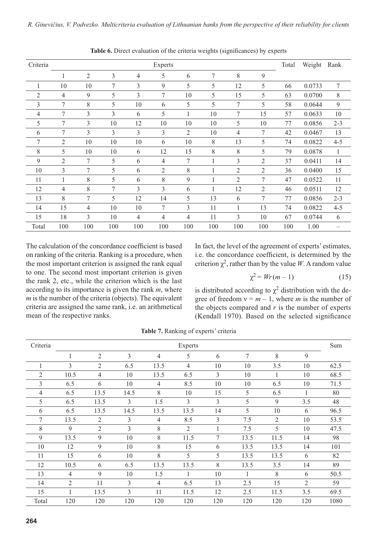*R. Ginevičius, V. Podvezko. Multicriteria evaluation of Lithuanian banks from the perspective of their reliability for clients*

| Criteria |                |                |     |     | Experts |                |     |                |                | Total | Weight Rank |         |
|----------|----------------|----------------|-----|-----|---------|----------------|-----|----------------|----------------|-------|-------------|---------|
|          |                | $\overline{2}$ | 3   | 4   | 5       | 6              | 7   | 8              | 9              |       |             |         |
|          | 10             | 10             | 7   | 3   | 9       | 5              | 5   | 12             | 5              | 66    | 0.0733      | 7       |
| 2        | 4              | 9              | 5   | 3   | 7       | 10             | 5   | 15             | 5              | 63    | 0.0700      | 8       |
| 3        | $\overline{7}$ | 8              | 5   | 10  | 6       | 5              | 5   | $\overline{7}$ | 5              | 58    | 0.0644      | 9       |
| 4        | $\overline{7}$ | 3              | 3   | 6   | 5       |                | 10  | $\overline{7}$ | 15             | 57    | 0.0633      | 10      |
| 5        | $\overline{7}$ | 3              | 10  | 12  | 10      | 10             | 10  | 5              | 10             | 77    | 0.0856      | $2 - 3$ |
| 6        | $\overline{7}$ | 3              | 3   | 3   | 3       | $\overline{2}$ | 10  | 4              | $\overline{7}$ | 42    | 0.0467      | 13      |
| 7        | $\mathfrak{2}$ | 10             | 10  | 10  | 6       | 10             | 8   | 13             | 5              | 74    | 0.0822      | $4 - 5$ |
| 8        | 5              | 10             | 10  | 6   | 12      | 15             | 8   | 8              | 5              | 79    | 0.0878      | 1       |
| 9        | $\overline{2}$ | $\overline{7}$ | 5   | 6   | 4       | 7              |     | $\mathfrak{Z}$ | $\overline{2}$ | 37    | 0.0411      | 14      |
| 10       | 3              | $\overline{7}$ | 5   | 6   | 2       | 8              |     | $\overline{2}$ | $\mathfrak{2}$ | 36    | 0.0400      | 15      |
| 11       |                | 8              | 5   | 6   | 8       | 9              |     | $\overline{2}$ | $\overline{7}$ | 47    | 0.0522      | 11      |
| 12       | 4              | 8              | 7   | 3   | 3       | 6              |     | 12             | $\mathfrak{2}$ | 46    | 0.0511      | 12      |
| 13       | 8              | 7              | 5   | 12  | 14      | 5              | 13  | 6              | $\overline{7}$ | 77    | 0.0856      | $2 - 3$ |
| 14       | 15             | 4              | 10  | 10  | 7       | 3              | 11  | 1              | 13             | 74    | 0.0822      | $4 - 5$ |
| 15       | 18             | 3              | 10  | 4   | 4       | 4              | 11  | $\overline{3}$ | 10             | 67    | 0.0744      | 6       |
| Total    | 100            | 100            | 100 | 100 | 100     | 100            | 100 | 100            | 100            | 100   | 1.00        |         |

Table 6. Direct evaluation of the criteria weights (significances) by experts

The calculation of the concordance coefficient is based on ranking of the criteria. Ranking is a procedure, when the most important criterion is assigned the rank equal to one. The second most important criterion is given the rank 2, etc., while the criterion which is the last according to its importance is given the rank *m*, where *m* is the number of the criteria (objects). The equivalent criteria are assigned the same rank, i.e. an arithmetical mean of the respective ranks.

In fact, the level of the agreement of experts' estimates, i.e. the concordance coefficient, is determined by the criterion  $\chi^2$ , rather than by the value *W*. A random value

$$
\chi^2 = Wr(m-1) \tag{15}
$$

is distributed according to  $\chi^2$  distribution with the degree of freedom  $v = m - 1$ , where *m* is the number of the objects compared and  $r$  is the number of experts (Kendall 1970). Based on the selected significance

| Criteria       |                |                |      |                | Experts        |                |      |                |                | Sum  |
|----------------|----------------|----------------|------|----------------|----------------|----------------|------|----------------|----------------|------|
|                |                | 2              | 3    | 4              | 5              | 6              | 7    | 8              | 9              |      |
| 1              | 3              | $\mathfrak{2}$ | 6.5  | 13.5           | $\overline{4}$ | 10             | 10   | 3.5            | 10             | 62.5 |
| 2              | 10.5           | $\overline{4}$ | 10   | 13.5           | 6.5            | $\overline{3}$ | 10   | 1              | 10             | 68.5 |
| 3              | 6.5            | 6              | 10   | 4              | 8.5            | 10             | 10   | 6.5            | 10             | 71.5 |
| 4              | 6.5            | 13.5           | 14.5 | 8              | 10             | 15             | 5    | 6.5            | 1              | 80   |
| 5              | 6.5            | 13.5           | 3    | 1.5            | 3              | $\mathfrak{Z}$ | 5    | 9              | 3.5            | 48   |
| 6              | 6.5            | 13.5           | 14.5 | 13.5           | 13.5           | 14             | 5    | 10             | 6              | 96.5 |
| $\overline{7}$ | 13.5           | $\overline{2}$ | 3    | 4              | 8.5            | $\overline{3}$ | 7.5  | $\overline{2}$ | 10             | 53.5 |
| 8              | 9              | $\overline{2}$ | 3    | 8              | $\overline{2}$ | 1              | 7.5  | 5              | 10             | 47.5 |
| 9              | 13.5           | 9              | 10   | 8              | 11.5           | $\tau$         | 13.5 | 11.5           | 14             | 98   |
| 10             | 12             | 9              | 10   | 8              | 15             | 6              | 13.5 | 13.5           | 14             | 101  |
| 11             | 15             | 6              | 10   | 8              | 5              | 5              | 13.5 | 13.5           | 6              | 82   |
| 12             | 10.5           | 6              | 6.5  | 13.5           | 13.5           | 8              | 13.5 | 3.5            | 14             | 89   |
| 13             | $\overline{4}$ | 9              | 10   | 1.5            | 1              | 10             | 1    | 8              | 6              | 50.5 |
| 14             | $\overline{2}$ | 11             | 3    | $\overline{4}$ | 6.5            | 13             | 2.5  | 15             | $\overline{2}$ | 59   |
| 15             |                | 13.5           | 3    | 11             | 11.5           | 12             | 2.5  | 11.5           | 3.5            | 69.5 |
| Total          | 120            | 120            | 120  | 120            | 120            | 120            | 120  | 120            | 120            | 1080 |

**Table 7.** Ranking of experts' criteria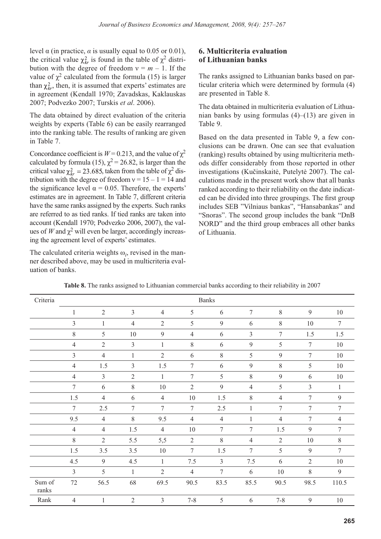level α (in practice,  $\alpha$  is usually equal to 0.05 or 0.01), the critical value  $\chi^2_{kr}$  is found in the table of  $\chi^2$  distribution with the degree of freedom  $v = m - 1$ . If the value of  $\chi^2$  calculated from the formula (15) is larger than  $\chi^2_{kr}$ , then, it is assumed that experts' estimates are in agreement (Kendall 1970; Zavadskas, Kaklauskas 2007; Podvezko 2007; Turskis *et al*. 2006).

The data obtained by direct evaluation of the criteria weights by experts (Table 6) can be easily rearranged into the ranking table. The results of ranking are given in Table 7.

Concordance coefficient is  $W = 0.213$ , and the value of  $\chi^2$ calculated by formula (15),  $\chi^2$  = 26.82, is larger than the critical value  $\chi^2_{kr} = 23.685$ , taken from the table of  $\chi^2$  distribution with the degree of freedom  $v = 15 - 1 = 14$  and the significance level  $\alpha = 0.05$ . Therefore, the experts' estimates are in agreement. In Table 7, different criteria have the same ranks assigned by the experts. Such ranks are referred to as tied ranks. If tied ranks are taken into account (Kendall 1970; Podvezko 2006, 2007), the values of *W* and  $\chi^2$  will even be larger, accordingly increasing the agreement level of experts' estimates.

The calculated criteria weights  $\omega_i$ , revised in the manner described above, may be used in multicriteria evaluation of banks.

# **6. Multicriteria evaluation of Lithuanian banks**

The ranks assigned to Lithuanian banks based on particular criteria which were determined by formula (4) are presented in Table 8.

The data obtained in multicriteria evaluation of Lithuanian banks by using formulas (4)–(13) are given in Table 9.

Based on the data presented in Table 9, a few conclusions can be drawn. One can see that evaluation (ranking) results obtained by using multicriteria methods differ considerably from those reported in other investigations (Kučinskaitė, Putelytė 2007). The calculations made in the present work show that all banks ranked according to their reliability on the date indicated can be divided into three groupings. The first group includes SEB "Vilniaus bankas", "Hansabankas" and "Snoras". The second group includes the bank "DnB NORD" and the third group embraces all other banks of Lithuania.

| Criteria        |                |                |                |                |                | <b>Banks</b>   |                |                |                  |                |
|-----------------|----------------|----------------|----------------|----------------|----------------|----------------|----------------|----------------|------------------|----------------|
|                 | $\mathbf{1}$   | $\overline{2}$ | $\mathfrak{Z}$ | $\overline{4}$ | 5              | 6              | 7              | $8\,$          | $\overline{9}$   | $10\,$         |
|                 | 3              | 1              | $\overline{4}$ | $\overline{2}$ | 5              | 9              | 6              | $8\,$          | 10               | $\overline{7}$ |
|                 | $\,8\,$        | 5              | $10\,$         | 9              | $\overline{4}$ | 6              | 3              | $\tau$         | 1.5              | 1.5            |
|                 | $\overline{4}$ | $\overline{2}$ | $\mathfrak{Z}$ | $\mathbf{1}$   | $\,8\,$        | 6              | $\mathfrak{g}$ | 5              | $\boldsymbol{7}$ | $10\,$         |
|                 | 3              | $\overline{4}$ | 1              | $\overline{2}$ | 6              | $8\,$          | 5              | 9              | $\tau$           | $10\,$         |
|                 | $\overline{4}$ | 1.5            | $\mathfrak{Z}$ | 1.5            | $\overline{7}$ | 6              | 9              | $\,$ 8 $\,$    | 5                | $10\,$         |
|                 | $\overline{4}$ | $\mathfrak{Z}$ | $\overline{2}$ | $\mathbf{1}$   | $\tau$         | 5              | $\,8\,$        | $\mathfrak{g}$ | 6                | $10\,$         |
|                 | $\tau$         | 6              | $8\,$          | $10\,$         | $\mathfrak{2}$ | 9              | $\overline{4}$ | 5              | 3                | $\mathbf{1}$   |
|                 | 1.5            | $\overline{4}$ | 6              | $\overline{4}$ | $10\,$         | 1.5            | $\,8\,$        | $\overline{4}$ | $\overline{7}$   | $\overline{9}$ |
|                 | $\tau$         | 2.5            | $\tau$         | 7              | $\tau$         | 2.5            | 1              | 7              | $\tau$           | $\tau$         |
|                 | 9.5            | $\overline{4}$ | $8\,$          | 9.5            | $\overline{4}$ | 4              |                | 4              | 7                | 4              |
|                 | $\overline{4}$ | $\overline{4}$ | 1.5            | $\overline{4}$ | $10\,$         | $\tau$         | $\overline{7}$ | 1.5            | 9                | $\tau$         |
|                 | 8              | $\overline{2}$ | 5.5            | 5,5            | $\overline{2}$ | $\,$ 8 $\,$    | $\overline{4}$ | $\overline{2}$ | 10               | $\,$ 8 $\,$    |
|                 | 1.5            | 3.5            | 3.5            | 10             | $\tau$         | 1.5            | 7              | 5              | 9                | $\tau$         |
|                 | 4.5            | $\overline{9}$ | 4.5            | $\mathbf{1}$   | 7.5            | $\overline{3}$ | 7.5            | 6              | $\overline{2}$   | $10\,$         |
|                 | $\mathfrak{Z}$ | 5              | $\mathbf{1}$   | $\overline{2}$ | $\overline{4}$ | $\tau$         | 6              | 10             | 8                | 9              |
| Sum of<br>ranks | 72             | 56.5           | 68             | 69.5           | 90.5           | 83.5           | 85.5           | 90.5           | 98.5             | 110.5          |
| Rank            | $\overline{4}$ | 1              | $\overline{2}$ | $\mathfrak{Z}$ | $7 - 8$        | 5              | 6              | $7 - 8$        | 9                | $10\,$         |

**Table 8.** The ranks assigned to Lithuanian commercial banks according to their reliability in 2007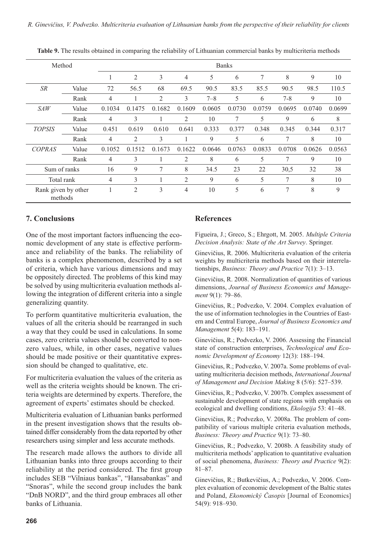| Method                         |            |                |        |        |        |         | <b>Banks</b> |        |         |        |        |
|--------------------------------|------------|----------------|--------|--------|--------|---------|--------------|--------|---------|--------|--------|
|                                |            |                | 2      | 3      | 4      | 5       | 6            | 7      | 8       | 9      | 10     |
| <b>SR</b>                      | Value      | 72             | 56.5   | 68     | 69.5   | 90.5    | 83.5         | 85.5   | 90.5    | 98.5   | 110.5  |
|                                | Rank       | 4              | 1      | 2      | 3      | $7 - 8$ | 5            | 6      | $7 - 8$ | 9      | 10     |
| SAW                            | Value      | 0.1034         | 0.1475 | 0.1682 | 0.1609 | 0.0605  | 0.0730       | 0.0759 | 0.0695  | 0.0740 | 0.0699 |
|                                | Rank       | $\overline{4}$ | 3      |        | 2      | 10      | 7            | 5      | 9       | 6      | 8      |
| <b>TOPSIS</b>                  | Value      | 0.451          | 0.619  | 0.610  | 0.641  | 0.333   | 0.377        | 0.348  | 0.345   | 0.344  | 0.317  |
|                                | Rank       | 4              | 2      | 3      |        | 9       | 5            | 6      | 7       | 8      | 10     |
| <b>COPRAS</b>                  | Value      | 0.1052         | 0.1512 | 0.1673 | 0.1622 | 0.0646  | 0.0763       | 0.0833 | 0.0708  | 0.0626 | 0.0563 |
|                                | Rank       | 4              | 3      |        | 2      | 8       | 6            | 5      | 7       | 9      | 10     |
| Sum of ranks                   |            | 16             | 9      | 7      | 8      | 34.5    | 23           | 22     | 30,5    | 32     | 38     |
|                                | Total rank |                | 3      |        | 2      | 9       | 6            | 5      | 7       | 8      | 10     |
| Rank given by other<br>methods |            | $\mathbf{1}$   | 2      | 3      | 4      | 10      | 5            | 6      | 7       | 8      | 9      |

**Table 9.** The results obtained in comparing the reliability of Lithuanian commercial banks by multicriteria methods

# **7. Conclusions**

One of the most important factors influencing the economic development of any state is effective performance and reliability of the banks. The reliability of banks is a complex phenomenon, described by a set of criteria, which have various dimensions and may be oppositely directed. The problems of this kind may be solved by using multicriteria evaluation methods allowing the integration of different criteria into a single generalizing quantity.

To perform quantitative multicriteria evaluation, the values of all the criteria should be rearranged in such a way that they could be used in calculations. In some cases, zero criteria values should be converted to nonzero values, while, in other cases, negative values should be made positive or their quantitative expression should be changed to qualitative, etc.

For multicriteria evaluation the values of the criteria as well as the criteria weights should be known. The criteria weights are determined by experts. Therefore, the agreement of experts' estimates should be checked.

Multicriteria evaluation of Lithuanian banks performed in the present investigation shows that the results obtained differ considerably from the data reported by other researchers using simpler and less accurate methods.

The research made allows the authors to divide all Lithuanian banks into three groups according to their reliability at the period considered. The first group includes SEB "Vilniaus bankas", "Hansabankas" and "Snoras", while the second group includes the bank "DnB NORD", and the third group embraces all other banks of Lithuania.

### **References**

Figueira, J.; Greco, S.; Ehrgott, M. 2005. *Multiple Criteria Decision Analysis: State of the Art Survey*. Springer.

Ginevičius, R. 2006. Multicriteria evaluation of the criteria weights by multicriteria methods based on their interrelationships, *Business: Theory and Practice* 7(1): 3–13.

Ginevičius, R. 2008. Normalization of quantities of various dimensions, *Journal of Business Economics and Management* 9(1): 79–86.

Ginevičius, R.; Podvezko, V. 2004. Complex evaluation of the use of information technologies in the Countries of Eastern and Central Europe, *Journal of Business Economics and Management* 5(4): 183–191.

Ginevičius, R.; Podvezko, V. 2006. Assessing the Financial state of construction enterprises, *Technological and Economic Development of Economy* 12(3): 188–194.

Ginevičius, R.; Podvezko, V. 2007a. Some problems of evaluating multicriteria decision methods, *International Journal of Management and Decision Making* 8 (5/6): 527–539.

Ginevičius, R.; Podvezko, V. 2007b. Complex assessment of sustainable development of state regions with emphasis on ecological and dwelling conditions, *Ekologija* 53: 41–48.

Ginevičius, R.; Podvezko, V. 2008a. The problem of compatibility of various multiple criteria evaluation methods, *Business: Theory and Practice* 9(1): 73–80.

Ginevičius, R.; Podvezko, V. 2008b. A feasibility study of multicriteria methods' application to quantitative evaluation of social phenomena, *Business: Theory and Practice* 9(2): 81–87.

Ginevičius, R.; Butkevičius, A.; Podvezko, V. 2006. Complex evaluation of economic development of the Baltic states and Poland, *Ekonomický Časopis* [Journal of Economics] 54(9): 918–930.